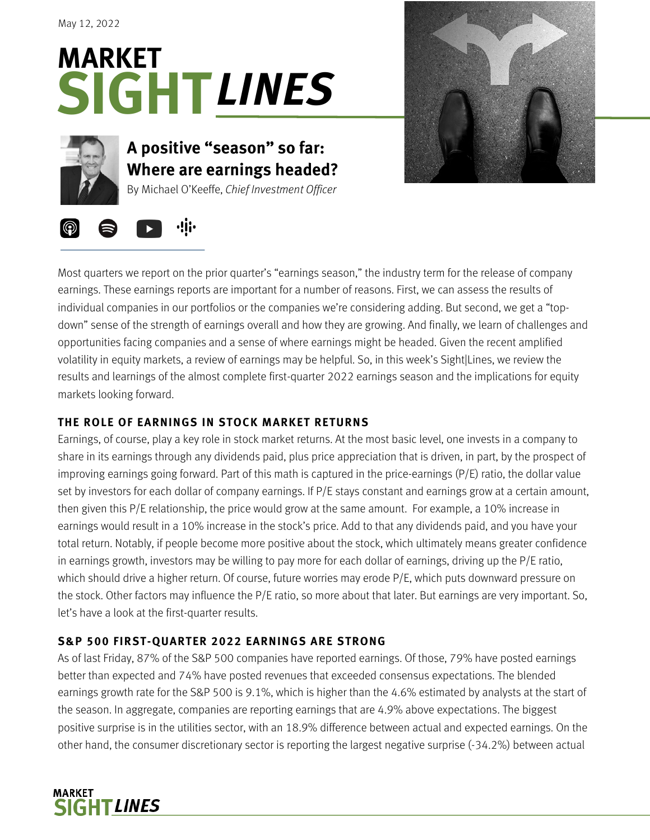# **SIGHT** *LINES***MARKET**



## **A positive "season" so far: Where are earnings headed?**

By Michael O'Keeffe, *Chief Investment Officer*





Most quarters we report on the prior quarter's "earnings season," the industry term for the release of company earnings. These earnings reports are important for a number of reasons. First, we can assess the results of individual companies in our portfolios or the companies we're considering adding. But second, we get a "topdown" sense of the strength of earnings overall and how they are growing. And finally, we learn of challenges and opportunities facing companies and a sense of where earnings might be headed. Given the recent amplified volatility in equity markets, a review of earnings may be helpful. So, in this week's Sight|Lines, we review the results and learnings of the almost complete first-quarter 2022 earnings season and the implications for equity markets looking forward.

#### **THE ROLE OF EARNINGS IN STOCK MARKET RETURNS**

Earnings, of course, play a key role in stock market returns. At the most basic level, one invests in a company to share in its earnings through any dividends paid, plus price appreciation that is driven, in part, by the prospect of improving earnings going forward. Part of this math is captured in the price-earnings (P/E) ratio, the dollar value set by investors for each dollar of company earnings. If P/E stays constant and earnings grow at a certain amount, then given this P/E relationship, the price would grow at the same amount. For example, a 10% increase in earnings would result in a 10% increase in the stock's price. Add to that any dividends paid, and you have your total return. Notably, if people become more positive about the stock, which ultimately means greater confidence in earnings growth, investors may be willing to pay more for each dollar of earnings, driving up the P/E ratio, which should drive a higher return. Of course, future worries may erode P/E, which puts downward pressure on the stock. Other factors may influence the P/E ratio, so more about that later. But earnings are very important. So, let's have a look at the first-quarter results.

### **S&P 500 FIRST-QUARTER 2022 EARNINGS ARE STRONG**

As of last Friday, 87% of the S&P 500 companies have reported earnings. Of those, 79% have posted earnings better than expected and 74% have posted revenues that exceeded consensus expectations. The blended earnings growth rate for the S&P 500 is 9.1%, which is higher than the 4.6% estimated by analysts at the start of the season. In aggregate, companies are reporting earnings that are 4.9% above expectations. The biggest positive surprise is in the utilities sector, with an 18.9% difference between actual and expected earnings. On the other hand, the consumer discretionary sector is reporting the largest negative surprise (-34.2%) between actual

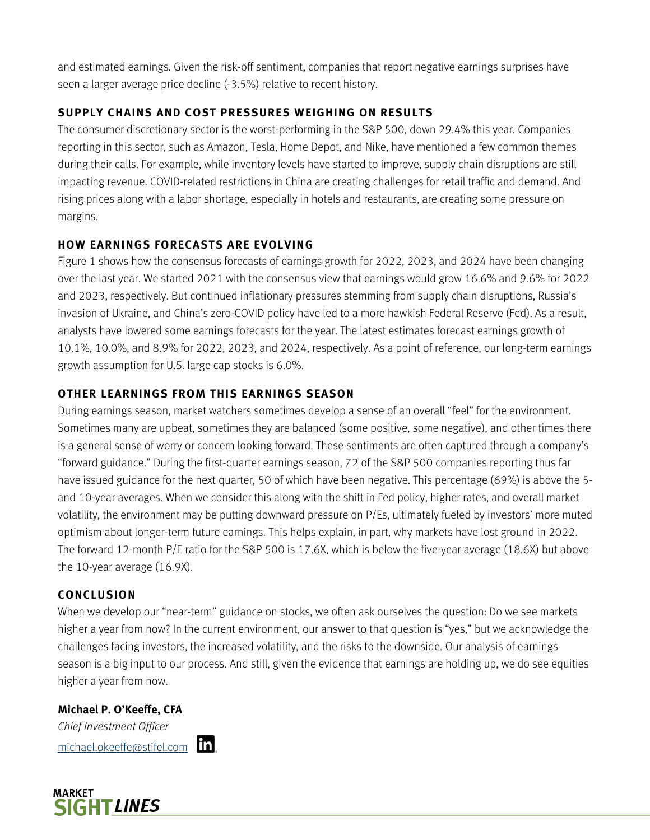and estimated earnings. Given the risk-off sentiment, companies that report negative earnings surprises have seen a larger average price decline (-3.5%) relative to recent history.

#### **SUPPLY CHAINS AND COST PRESSURES WEIGHING ON RESULTS**

The consumer discretionary sector is the worst-performing in the S&P 500, down 29.4% this year. Companies reporting in this sector, such as Amazon, Tesla, Home Depot, and Nike, have mentioned a few common themes during their calls. For example, while inventory levels have started to improve, supply chain disruptions are still impacting revenue. COVID-related restrictions in China are creating challenges for retail traffic and demand. And rising prices along with a labor shortage, especially in hotels and restaurants, are creating some pressure on margins.

#### **HOW EARNINGS FORECASTS ARE EVOLVING**

Figure 1 shows how the consensus forecasts of earnings growth for 2022, 2023, and 2024 have been changing over the last year. We started 2021 with the consensus view that earnings would grow 16.6% and 9.6% for 2022 and 2023, respectively. But continued inflationary pressures stemming from supply chain disruptions, Russia's invasion of Ukraine, and China's zero-COVID policy have led to a more hawkish Federal Reserve (Fed). As a result, analysts have lowered some earnings forecasts for the year. The latest estimates forecast earnings growth of 10.1%, 10.0%, and 8.9% for 2022, 2023, and 2024, respectively. As a point of reference, our long-term earnings growth assumption for U.S. large cap stocks is 6.0%.

#### **OTHER LEARNINGS FROM THIS EARNINGS SEASON**

During earnings season, market watchers sometimes develop a sense of an overall "feel" for the environment. Sometimes many are upbeat, sometimes they are balanced (some positive, some negative), and other times there is a general sense of worry or concern looking forward. These sentiments are often captured through a company's "forward guidance." During the first-quarter earnings season, 72 of the S&P 500 companies reporting thus far have issued guidance for the next quarter, 50 of which have been negative. This percentage (69%) is above the 5 and 10-year averages. When we consider this along with the shift in Fed policy, higher rates, and overall market volatility, the environment may be putting downward pressure on P/Es, ultimately fueled by investors' more muted optimism about longer-term future earnings. This helps explain, in part, why markets have lost ground in 2022. The forward 12-month P/E ratio for the S&P 500 is 17.6X, which is below the five-year average (18.6X) but above the 10-year average (16.9X).

#### **CONCLUSION**

When we develop our "near-term" guidance on stocks, we often ask ourselves the question: Do we see markets higher a year from now? In the current environment, our answer to that question is "yes," but we acknowledge the challenges facing investors, the increased volatility, and the risks to the downside. Our analysis of earnings season is a big input to our process. And still, given the evidence that earnings are holding up, we do see equities higher a year from now.

#### **Michael P. O'Keeffe, CFA**

*Chief Investment Officer* michael.okeeffe@stifel.com